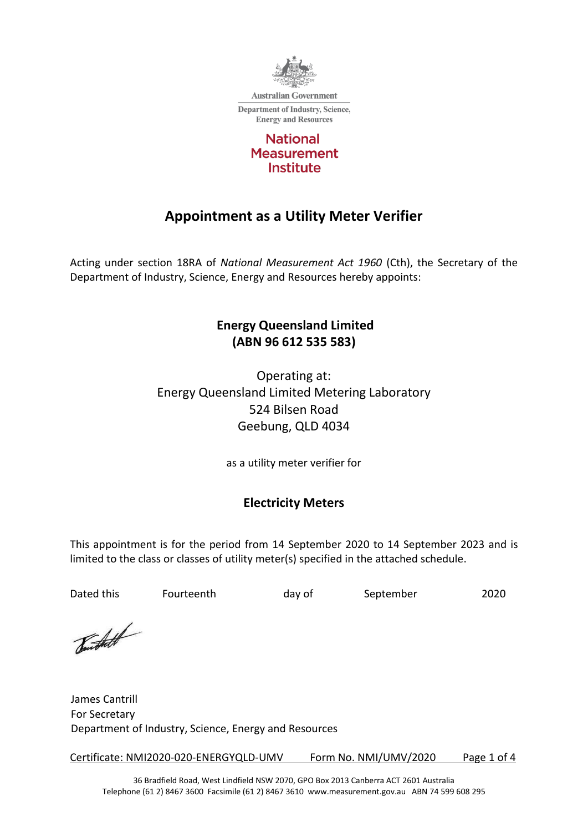

**Australian Government Department of Industry, Science, Energy and Resources** 



# **Appointment as a Utility Meter Verifier**

Acting under section 18RA of *National Measurement Act 1960* (Cth), the Secretary of the Department of Industry, Science, Energy and Resources hereby appoints:

## **Energy Queensland Limited (ABN 96 612 535 583)**

Operating at: Energy Queensland Limited Metering Laboratory 524 Bilsen Road Geebung, QLD 4034

as a utility meter verifier for

## **Electricity Meters**

This appointment is for the period from 14 September 2020 to 14 September 2023 and is limited to the class or classes of utility meter(s) specified in the attached schedule.

Dated this Fourteenth and day of September 2020

Burthett

James Cantrill For Secretary Department of Industry, Science, Energy and Resources

Certificate: NMI2020-020-ENERGYQLD-UMV Form No. NMI/UMV/2020 Page 1 of 4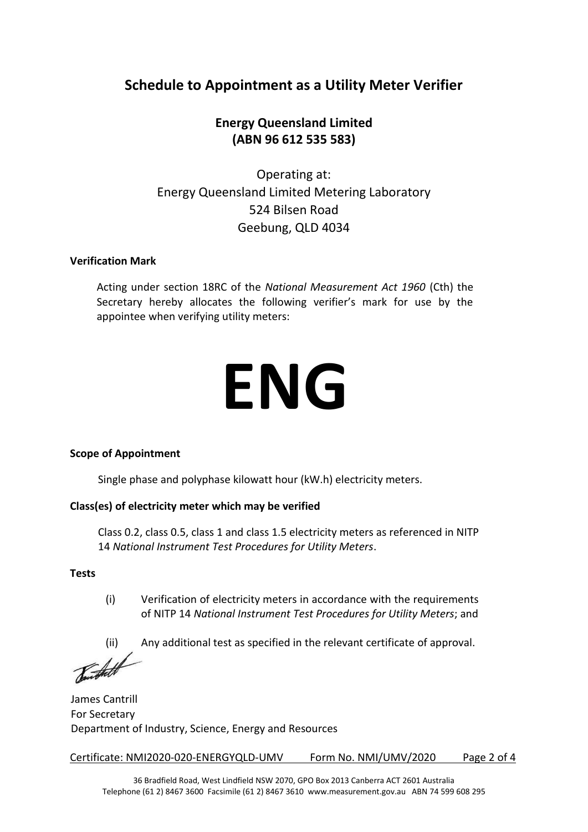## **Schedule to Appointment as a Utility Meter Verifier**

## **Energy Queensland Limited (ABN 96 612 535 583)**

Operating at: Energy Queensland Limited Metering Laboratory 524 Bilsen Road Geebung, QLD 4034

#### **Verification Mark**

Acting under section 18RC of the *National Measurement Act 1960* (Cth) the Secretary hereby allocates the following verifier's mark for use by the appointee when verifying utility meters:

# **ENG**

#### **Scope of Appointment**

Single phase and polyphase kilowatt hour (kW.h) electricity meters.

#### **Class(es) of electricity meter which may be verified**

Class 0.2, class 0.5, class 1 and class 1.5 electricity meters as referenced in NITP 14 *National Instrument Test Procedures for Utility Meters*.

#### **Tests**

(i) Verification of electricity meters in accordance with the requirements of NITP 14 *National Instrument Test Procedures for Utility Meters*; and

(ii) Any additional test as specified in the relevant certificate of approval.<br> **Figure 1** 

James Cantrill For Secretary Department of Industry, Science, Energy and Resources

Certificate: NMI2020-020-ENERGYQLD-UMV Form No. NMI/UMV/2020 Page 2 of 4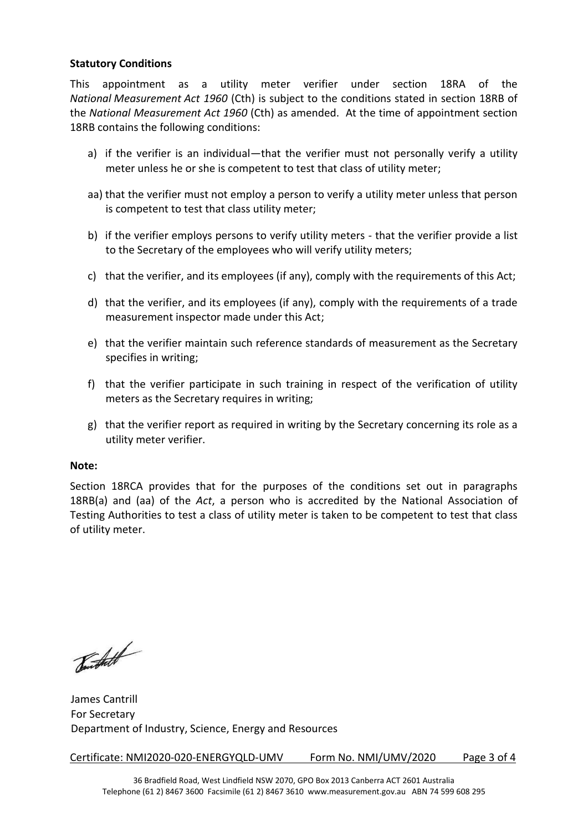#### **Statutory Conditions**

This appointment as a utility meter verifier under section 18RA of the *National Measurement Act 1960* (Cth) is subject to the conditions stated in section 18RB of the *National Measurement Act 1960* (Cth) as amended. At the time of appointment section 18RB contains the following conditions:

- a) if the verifier is an individual—that the verifier must not personally verify a utility meter unless he or she is competent to test that class of utility meter;
- aa) that the verifier must not employ a person to verify a utility meter unless that person is competent to test that class utility meter;
- b) if the verifier employs persons to verify utility meters that the verifier provide a list to the Secretary of the employees who will verify utility meters;
- c) that the verifier, and its employees (if any), comply with the requirements of this Act;
- d) that the verifier, and its employees (if any), comply with the requirements of a trade measurement inspector made under this Act;
- e) that the verifier maintain such reference standards of measurement as the Secretary specifies in writing;
- f) that the verifier participate in such training in respect of the verification of utility meters as the Secretary requires in writing;
- g) that the verifier report as required in writing by the Secretary concerning its role as a utility meter verifier.

#### **Note:**

Section 18RCA provides that for the purposes of the conditions set out in paragraphs 18RB(a) and (aa) of the *Act*, a person who is accredited by the National Association of Testing Authorities to test a class of utility meter is taken to be competent to test that class of utility meter.

Tourstatt

James Cantrill For Secretary Department of Industry, Science, Energy and Resources

Certificate: NMI2020-020-ENERGYQLD-UMV Form No. NMI/UMV/2020 Page 3 of 4